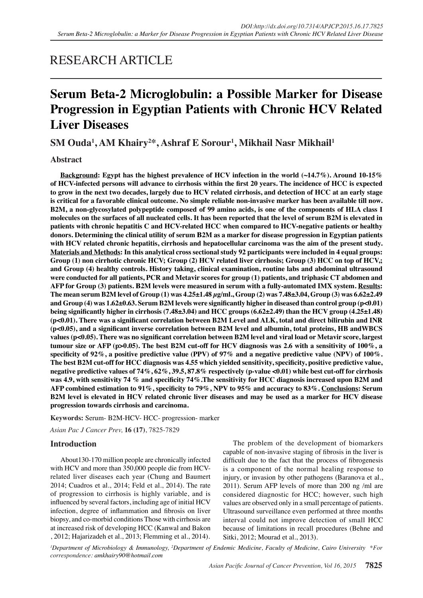# RESEARCH ARTICLE

# **Serum Beta-2 Microglobulin: a Possible Marker for Disease Progression in Egyptian Patients with Chronic HCV Related Liver Diseases**

**SM Ouda<sup>1</sup> , AM Khairy<sup>2</sup> \*, Ashraf E Sorour<sup>1</sup> , Mikhail Nasr Mikhail<sup>1</sup>**

# **Abstract**

**Background: Egypt has the highest prevalence of HCV infection in the world (~14.7%). Around 10-15% of HCV-infected persons will advance to cirrhosis within the first 20 years. The incidence of HCC is expected to grow in the next two decades, largely due to HCV related cirrhosis, and detection of HCC at an early stage is critical for a favorable clinical outcome. No simple reliable non-invasive marker has been available till now. B2M, a non-glycosylated polypeptide composed of 99 amino acids, is one of the components of HLA class I molecules on the surfaces of all nucleated cells. It has been reported that the level of serum B2M is elevated in patients with chronic hepatitis C and HCV-related HCC when compared to HCV-negative patients or healthy donors. Determining the clinical utility of serum Β2M as a marker for disease progression in Egyptian patients with HCV related chronic hepatitis, cirrhosis and hepatocellular carcinoma was the aim of the present study. Materials and Methods: In this analytical cross sectional study 92 participants were included in 4 equal groups: Group (1) non cirrhotic chronic HCV; Group (2) HCV related liver cirrhosis; Group (3) HCC on top of HCV,; and Group (4) healthy controls. History taking, clinical examination, routine labs and abdominal ultrasound were conducted for all patients, PCR and Metavir scores for group (1) patients, and triphasic CT abdomen and AFP for Group (3) patients. Β2M levels were measured in serum with a fully-automated IMX system. Results: The mean serum B2M level of Group (1) was 4.25±1.48 µg/ml., Group (2) was 7.48±3.04, Group (3) was 6.62±2.49 and Group (4) was 1.62±0.63. Serum B2M levels were significantly higher in diseased than control group (p<0.01) being significantly higher in cirrhosis (7.48±3.04) and HCC groups (6.62±2.49) than the HCV group (4.25±1.48) (p<0.01). There was a significant correlation between B2M Level and ALK, total and direct bilirubin and INR (p<0.05), and a significant inverse correlation between B2M level and albumin, total proteins, HB andWBCS values (p<0.05). There was no significant correlation between B2M level and viral load or Metavir score, largest tumour size or AFP (p>0.05). The best B2M cut-off for HCV diagnosis was 2.6 with a sensitivity of 100%, a specificity of 92%, a positive predictive value (PPV) of 97% and a negative predictive value (NPV) of 100%. The best B2M cut-off for HCC diagnosis was 4.55 which yielded sensitivity, specificity, positive predictive value, negative predictive values of 74%, 62%, 39.5, 87.8% respectively (p-value <0.01) while best cut-off for cirrhosis was 4.9, with sensitivity 74 % and specificity 74%.The sensitivity for HCC diagnosis increased upon B2M and AFP combined estimation to 91%, specificity to 79%, NPV to 95% and accuracy to 83%. Conclusions: Serum B2M level is elevated in HCV related chronic liver diseases and may be used as a marker for HCV disease progression towards cirrhosis and carcinoma.**

**Keywords:** Serum- B2M-HCV- HCC- progression- marker

*Asian Pac J Cancer Prev,* **16 (17)**, 7825-7829

# **Introduction**

About130-170 million people are chronically infected with HCV and more than 350,000 people die from HCVrelated liver diseases each year (Chung and Baumert 2014; Cuadros et al., 2014; Feld et al., 2014). The rate of progression to cirrhosis is highly variable, and is influenced by several factors, including age of initial HCV infection, degree of inflammation and fibrosis on liver biopsy, and co-morbid conditions Those with cirrhosis are at increased risk of developing HCC (Kanwal and Bakon , 2012; Hajarizadeh et al., 2013; Flemming et al., 2014).

The problem of the development of biomarkers capable of non-invasive staging of fibrosis in the liver is difficult due to the fact that the process of fibrogenesis is a component of the normal healing response to injury, or invasion by other pathogens (Baranova et al., 2011). Serum AFP levels of more than 200 ng /ml are considered diagnostic for HCC; however, such high values are observed only in a small percentage of patients. Ultrasound surveillance even performed at three months interval could not improve detection of small HCC because of limitations in recall procedures (Behne and Sitki, 2012; Mourad et al., 2013).

*1 Department of Microbiology & Immunology, 2 Department of Endemic Medicine, Faculty of Medicine, Cairo University \*For correspondence: amkhairy90@hotmail.com*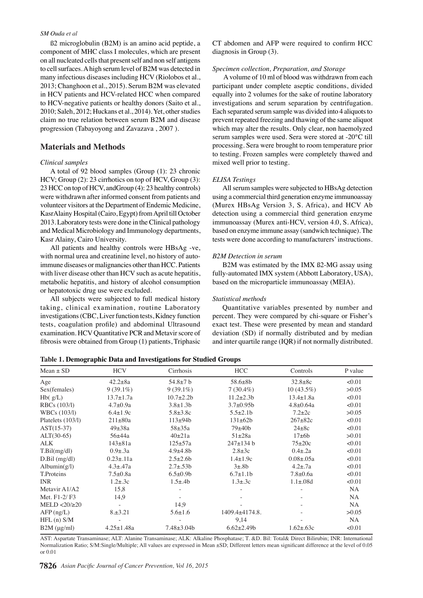#### *SM Ouda et al*

ß2 microglobulin (B2M) is an amino acid peptide, a component of MHC class I molecules, which are present on all nucleated cells that present self and non self antigens to cell surfaces. A high serum level of B2M was detected in many infectious diseases including HCV (Riolobos et al., 2013; Changhoon et al., 2015). Serum B2M was elevated in HCV patients and HCV-related HCC when compared to HCV-negative patients or healthy donors (Saito et al., 2010; Saleh, 2012; Huckans et al., 2014). Yet, other studies claim no true relation between serum B2M and disease progression (Tabayoyong and Zavazava , 2007 ).

### **Materials and Methods**

#### *Clinical samples*

A total of 92 blood samples (Group (1): 23 chronic HCV; Group (2): 23 cirrhotics on top of HCV, Group (3): 23 HCC on top of HCV, andGroup (4): 23 healthy controls) were withdrawn after informed consent from patients and volunteer visitors at the Department of Endemic Medicine, KasrAlainy Hospital (Cairo, Egypt) from April till October 2013. Laboratory tests were done in the Clinical pathology and Medical Microbiology and Immunology departments, Kasr Alainy, Cairo University.

All patients and healthy controls were HBsAg -ve, with normal urea and creatinine level, no history of autoimmune diseases or malignancies other than HCC. Patients with liver disease other than HCV such as acute hepatitis, metabolic hepatitis, and history of alcohol consumption or hepatotoxic drug use were excluded.

All subjects were subjected to full medical history taking, clinical examination, routine Laboratory investigations (CBC, Liver function tests, Kidney function tests, coagulation profile) and abdominal Ultrasound examination. HCV Quantitative PCR and Metavir score of fibrosis were obtained from Group (1) patients, Triphasic

CT abdomen and AFP were required to confirm HCC diagnosis in Group (3).

#### *Specimen collection, Preparation, and Storage*

 A volume of 10 ml of blood was withdrawn from each participant under complete aseptic conditions, divided equally into 2 volumes for the sake of routine laboratory investigations and serum separation by centrifugation. Each separated serum sample was divided into 4 aliquots to prevent repeated freezing and thawing of the same aliquot which may alter the results. Only clear, non haemolyzed serum samples were used. Sera were stored at -20°C till processing. Sera were brought to room temperature prior to testing. Frozen samples were completely thawed and mixed well prior to testing.

#### *ELISA Testings*

All serum samples were subjected to HBsAg detection using a commercial third generation enzyme immunoassay (Murex HBsAg Version 3, S. Africa), and HCV Ab detection using a commercial third generation enzyme immunoassay (Murex anti-HCV, version 4.0, S. Africa), based on enzyme immune assay (sandwich technique). The tests were done according to manufacturers' instructions.

#### *B2M Detection in serum*

B2M was estimated by the IMX ß2-MG assay using fully-automated IMX system (Abbott Laboratory, USA), based on the microparticle immunoassay (MEIA).

#### *Statistical methods*

Quantitative variables presented by number and percent. They were compared by chi-square or Fisher's exact test. These were presented by mean and standard deviation (SD) if normally distributed and by median and inter quartile range (IQR) if not normally distributed.

|  |  | Table 1. Demographic Data and Investigations for Studied Groups |  |  |
|--|--|-----------------------------------------------------------------|--|--|
|  |  |                                                                 |  |  |

| $Mean \pm SD$                          | <b>HCV</b>       | Cirrhosis         | <b>HCC</b>       | Controls         | P value   |
|----------------------------------------|------------------|-------------------|------------------|------------------|-----------|
| Age                                    | $42.2 \pm 8a$    | $54.8 \pm 7$ b    | $58.6 \pm 8b$    | $32.8 \pm 8c$    | < 0.01    |
| Sex(females)                           | $9(39.1\%)$      | $9(39.1\%)$       | $7(30.4\%)$      | $10(43.5\%)$     | >0.05     |
| Hb(g/L)                                | $13.7 \pm 1.7a$  | $10.7 + 2.2b$     | $11.2 \pm 2.3 b$ | $13.4 \pm 1.8a$  | <0.01     |
| RBCs (103/l)                           | $4.7 \pm 0.9a$   | $3.8 \pm 1.3 b$   | $3.7+0.95b$      | $4.8 + 0.64a$    | < 0.01    |
| WBCs (103/l)                           | $6.4 \pm 1.9c$   | $5.8 \pm 3.8$ c   | $5.5 \pm 2.1$    | $7.2 \pm 2c$     | >0.05     |
| Platelets (103/l)                      | $211 \pm 80a$    | $113 + 94b$       | $131 \pm 62b$    | $267 + 82c$      | <0.01     |
| $AST(15-37)$                           | $49\pm 38a$      | $58 + 35a$        | $79 + 40b$       | $24\pm8c$        | < 0.01    |
| $ALT(30-65)$                           | $56\pm44a$       | $40\pm21a$        | $51\pm28a$       | 17±6b            | >0.01     |
| <b>ALK</b>                             | $143 \pm 81a$    | $125 \pm 57a$     | $247 \pm 134$ b  | $75\pm20c$       | <0.01     |
| T.Bil(mg/dl)                           | $0.9 \pm .3a$    | $4.9 + 4.8$       | $2.8 \pm 3c$     | $0.4 \pm .2a$    | < 0.01    |
| $D.Bil$ (mg/dl)                        | $0.23 \pm .11a$  | $2.5 \pm 2.6$     | $1.4 \pm 1.9c$   | $0.08 \pm 0.05a$ | < 0.01    |
| Albumin $(g/l)$                        | $4.3 \pm .47a$   | $2.7 \pm .53 b$   | $3\pm.8b$        | $4.2 \pm .7a$    | <0.01     |
| T.Proteins                             | $7.5 \pm 0.8a$   | $6.5 \pm 0.9$     | $6.7 \pm 1.1$    | $7.8 \pm 0.6a$   | < 0.01    |
| <b>INR</b>                             | $1.2 \pm .3c$    | $1.5 \pm .4b$     | $1.3 \pm .3c$    | $1.1 \pm .08d$   | < 0.01    |
| Metavir A <sub>1</sub> /A <sub>2</sub> | 15,8             |                   |                  |                  | <b>NA</b> |
| Met. F1-2/F3                           | 14,9             |                   |                  |                  | NA        |
| $MELD < 20/ \ge 20$                    |                  | 14,9              |                  |                  | <b>NA</b> |
| $AFP$ (ng/L)                           | $8. \pm 3.21$    | $5.6 \pm 1.6$     | 1409.4±4174.8.   |                  | >0.05     |
| $HFL(n)$ S/M                           |                  |                   | 9,14             |                  | <b>NA</b> |
| $B2M$ ( $\mu$ g/ml)                    | $4.25 \pm 1.48a$ | $7.48 \pm 3.04 b$ | $6.62 \pm 2.49$  | $1.62 \pm .63c$  | <0.01     |

AST: Aspartate Transaminase; ALT: Alanine Transaminase; ALK: Alkaline Phosphatase; T. &D. Bil: Total& Direct Bilirubin; INR: International Normalization Ratio; S/M:Single/Multiple; All values are expressed in Mean ±SD; Different letters mean significant difference at the level of 0.05 or 0.01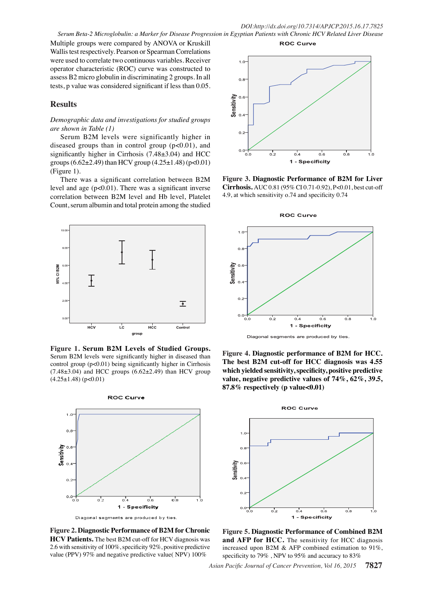Multiple groups were compared by ANOVA or Kruskill Wallis test respectively. Pearson or Spearman Correlations were used to correlate two continuous variables. Receiver operator characteristic (ROC) curve was constructed to assess B2 micro globulin in discriminating 2 groups. In all tests, p value was considered significant if less than 0.05.

# **Results**

## *Demographic data and investigations for studied groups are shown in Table (1)*

Serum B2M levels were significantly higher in diseased groups than in control group  $(p<0.01)$ , and significantly higher in Cirrhosis (7.48±3.04) and HCC groups  $(6.62\pm2.49)$  than HCV group  $(4.25\pm1.48)$  (p<0.01) (Figure 1).

There was a significant correlation between B2M level and age  $(p<0.01)$ . There was a significant inverse correlation between B2M level and Hb level, Platelet Count, serum albumin and total protein among the studied



**Figure 1. Serum B2M Levels of Studied Groups.**  Serum B2M levels were significantly higher in diseased than control group (p<0.01) being significantly higher in Cirrhosis  $(7.48\pm3.04)$  and HCC groups  $(6.62\pm2.49)$  than HCV group  $(4.25 \pm 1.48)$  (p<0.01)



Diagonal segments are produced by ties

**Figure 2. Diagnostic Performance of B2M for Chronic HCV Patients.** The best B2M cut-off for HCV diagnosis was 2.6 with sensitivity of 100%, specificity 92%, positive predictive value (PPV) 97% and negative predictive value( NPV) 100%



**ROC Curve** 

**Figure 3. Diagnostic Performance of B2M for Liver Cirrhosis.** AUC 0.81 (95% CI 0.71-0.92), P<0.01, best cut-off 4.9, at which sensitivity o.74 and specificity 0.74



Diagonal segments are produced by ties.

**Figure 4. Diagnostic performance of B2M for HCC. The best B2M cut-off for HCC diagnosis was 4.55 which yielded sensitivity, specificity, positive predictive value, negative predictive values of 74%, 62%, 39.5, 87.8% respectively (p value<0.01)**



**Figure 5. Diagnostic Performance of Combined B2M and AFP for HCC.** The sensitivity for HCC diagnosis increased upon B2M & AFP combined estimation to 91%, specificity to 79% , NPV to 95% and accuracy to 83%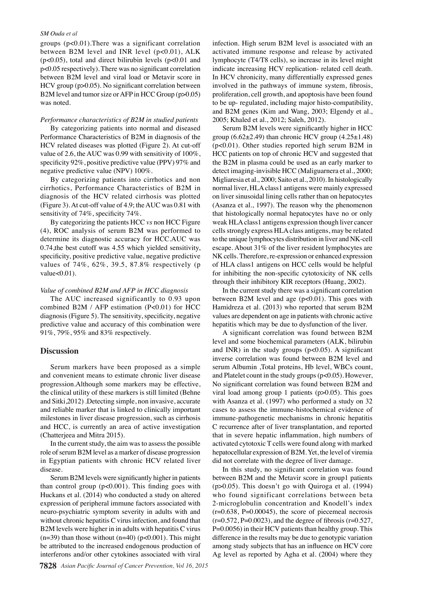#### *SM Ouda et al*

groups (p<0.01).There was a significant correlation between B2M level and INR level  $(p<0.01)$ , ALK ( $p<0.05$ ), total and direct bilirubin levels ( $p<0.01$  and p<0.05 respectively). There was no significant correlation between B2M level and viral load or Metavir score in HCV group (p>0.05). No significant correlation between B2M level and tumor size or AFP in HCC Group (p>0.05) was noted.

## *Performance characteristics of B2M in studied patients*

By categorizing patients into normal and diseased Performance Characteristics of B2M in diagnosis of the HCV related diseases was plotted (Figure 2). At cut-off value of 2.6, the AUC was 0.99 with sensitivity of 100%, specificity 92%, positive predictive value (PPV) 97% and negative predictive value (NPV) 100%.

By categorizing patients into cirrhotics and non cirrhotics, Performance Characteristics of B2M in diagnosis of the HCV related cirrhosis was plotted (Figure 3). At cut-off value of 4.9; the AUC was 0.81 with sensitivity of 74%, specificity 74%.

By categorizing the patients HCC *vs* non HCC Figure (4), ROC analysis of serum B2M was performed to determine its diagnostic accuracy for HCC.AUC was 0.74,the best cutoff was 4.55 which yielded sensitivity, specificity, positive predictive value, negative predictive values of 74%, 62%, 39.5, 87.8% respectively (p value<0.01).

#### *Value of combined B2M and AFP in HCC diagnosis*

The AUC increased significantly to 0.93 upon combined B2M / AFP estimation (P<0.01) for HCC diagnosis (Figure 5). The sensitivity, specificity, negative predictive value and accuracy of this combination were 91%, 79%, 95% and 83% respectively.

### **Discussion**

Serum markers have been proposed as a simple and convenient means to estimate chronic liver disease progression.Although some markers may be effective, the clinical utility of these markers is still limited (Behne and Sitki,2012) .Detecting simple, non invasive, accurate and reliable marker that is linked to clinically important milestones in liver disease progression, such as cirrhosis and HCC, is currently an area of active investigation (Chatterjeea and Mitra 2015).

In the current study, the aim was to assess the possible role of serum B2M level as a marker of disease progression in Egyptian patients with chronic HCV related liver disease.

Serum B2M levels were significantly higher in patients than control group (p<0.001). This finding goes with Huckans et al. (2014) who conducted a study on altered expression of peripheral immune factors associated with neuro-psychiatric symptom severity in adults with and without chronic hepatitis C virus infection, and found that B2M levels were higher in in adults with hepatitis C virus  $(n=39)$  than those without  $(n=40)$  ( $p<0.001$ ). This might be attributed to the increased endogenous production of interferons and/or other cytokines associated with viral

infection. High serum B2M level is associated with an activated immune response and release by activated lymphocyte (T4/T8 cells), so increase in its level might indicate increasing HCV replication- related cell death. In HCV chronicity, many differentially expressed genes involved in the pathways of immune system, fibrosis, proliferation, cell growth, and apoptosis have been found to be up- regulated, including major histo-compatibility, and B2M genes (Kim and Wang, 2003; Elgendy et al., 2005; Khaled et al., 2012; Saleh, 2012).

Serum B2M levels were significantly higher in HCC group  $(6.62\pm2.49)$  than chronic HCV group  $(4.25\pm1.48)$ (p<0.01). Other studies reported high serum B2M in HCC patients on top of chronic HCV and suggested that the B2M in plasma could be used as an early marker to detect imaging-invisible HCC (Maliguarnera et al., 2000; Migliaresia et al., 2000; Saito et al., 2010). In histologically normal liver, HLA class1 antigens were mainly expressed on liver sinusoidal lining cells rather than on hepatocytes (Asanza et al., 1997). The reason why the phenomenon that histologically normal hepatocytes have no or only weak HLA class1 antigens expression though liver cancer cells strongly express HLA class antigens, may be related to the unique lymphocytes distribution in liver and NK-cell escape. About 31% of the liver resident lymphocytes are NK cells. Therefore, re-expression or enhanced expression of HLA class1 antigens on HCC cells would be helpful for inhibiting the non-specific cytotoxicity of NK cells through their inhibitory KIR receptors (Huang, 2002).

In the current study there was a significant correlation between B2M level and age  $(p<0.01)$ . This goes with Hamidreza et al. (2013) who reported that serum B2M values are dependent on age in patients with chronic active hepatitis which may be due to dysfunction of the liver.

A significant correlation was found between B2M level and some biochemical parameters (ALK, bilirubin and INR) in the study groups  $(p<0.05)$ . A significant inverse correlation was found between B2M level and serum Albumin ,Total proteins, Hb level, WBCs count, and Platelet count in the study groups (p<0.05). However, No significant correlation was found between B2M and viral load among group 1 patients (p>0.05). This goes with Asanza et al. (1997) who performed a study on 32 cases to assess the immune-histochemical evidence of immune-pathogenetic mechanisms in chronic hepatitis C recurrence after of liver transplantation, and reported that in severe hepatic inflammation, high numbers of activated cytotoxic T cells were found along with marked hepatocellular expression of B2M. Yet, the level of viremia did not correlate with the degree of liver damage.

In this study, no significant correlation was found between B2M and the Metavir score in group1 patients (p>0.05). This doesn't go with Quiroga et al. (1994) who found significant correlations between beta 2-microglobulin concentration and Knodell's index  $(r=0.638, P=0.00045)$ , the score of piecemeal necrosis  $(r=0.572, P=0.0023)$ , and the degree of fibrosis (r=0.527, P=0.0056) in their HCV patients than healthy group. This difference in the results may be due to genotypic variation among study subjects that has an influence on HCV core Ag level as reported by Agha et al. (2004) where they